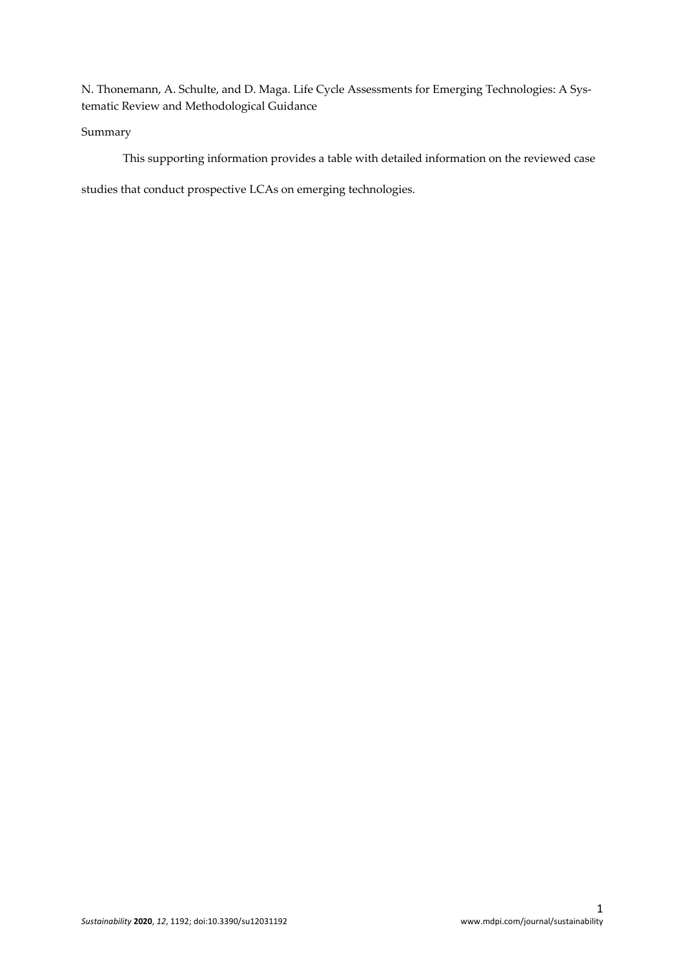N. Thonemann, A. Schulte, and D. Maga. Life Cycle Assessments for Emerging Technologies: A Systematic Review and Methodological Guidance

## Summary

This supporting information provides a table with detailed information on the reviewed case

studies that conduct prospective LCAs on emerging technologies.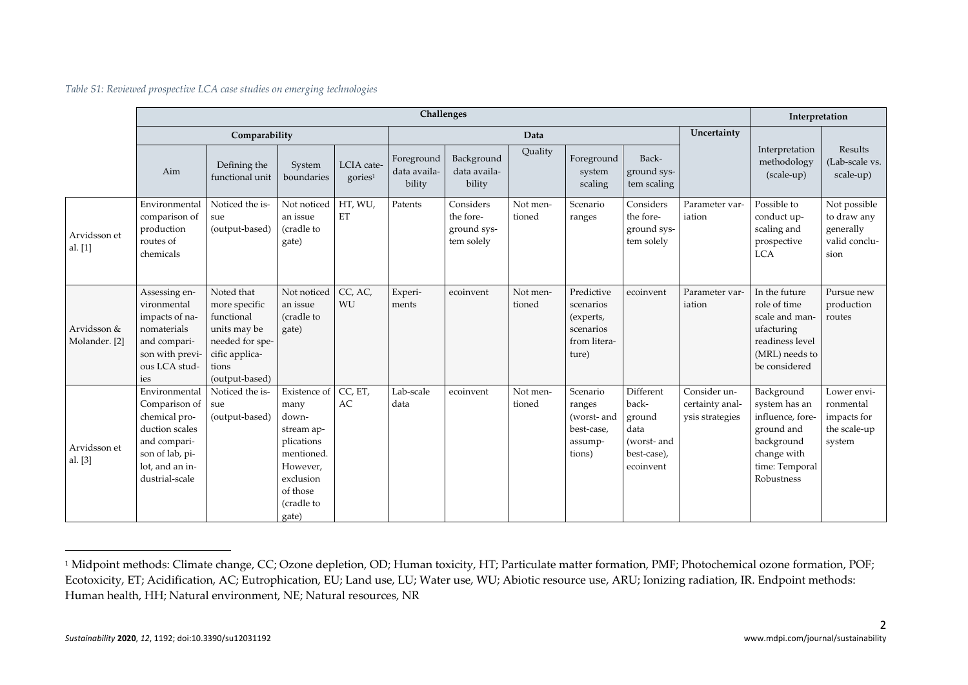| Table S1: Reviewed prospective LCA case studies on emerging technologies |  |  |  |  |  |
|--------------------------------------------------------------------------|--|--|--|--|--|
|--------------------------------------------------------------------------|--|--|--|--|--|

|                              |                                                                                                                                           |                                                                                                                           |                                                                                                                                     | Interpretation                    |                                      |                                                     |                    |                                                                            |                                                                                 |                                                    |                                                                                                                            |                                                                   |
|------------------------------|-------------------------------------------------------------------------------------------------------------------------------------------|---------------------------------------------------------------------------------------------------------------------------|-------------------------------------------------------------------------------------------------------------------------------------|-----------------------------------|--------------------------------------|-----------------------------------------------------|--------------------|----------------------------------------------------------------------------|---------------------------------------------------------------------------------|----------------------------------------------------|----------------------------------------------------------------------------------------------------------------------------|-------------------------------------------------------------------|
|                              |                                                                                                                                           | Comparability                                                                                                             |                                                                                                                                     |                                   |                                      |                                                     | Data               |                                                                            |                                                                                 | Uncertainty                                        |                                                                                                                            |                                                                   |
|                              | Aim                                                                                                                                       | Defining the<br>functional unit                                                                                           | System<br>boundaries                                                                                                                | LCIA cate-<br>gories <sup>1</sup> | Foreground<br>data availa-<br>bility | Background<br>data availa-<br>bility                | Ouality            | Foreground<br>system<br>scaling                                            | Back-<br>ground sys-<br>tem scaling                                             |                                                    | Interpretation<br>methodology<br>(scale-up)                                                                                | Results<br>(Lab-scale vs.<br>scale-up)                            |
| Arvidsson et<br>al. $[1]$    | Environmental<br>comparison of<br>production<br>routes of<br>chemicals                                                                    | Noticed the is-<br>sue<br>(output-based)                                                                                  | Not noticed<br>an issue<br>(cradle to<br>gate)                                                                                      | HT, WU,<br>ET                     | Patents                              | Considers<br>the fore-<br>ground sys-<br>tem solely | Not men-<br>tioned | Scenario<br>ranges                                                         | Considers<br>the fore-<br>ground sys-<br>tem solely                             | Parameter var-<br>iation                           | Possible to<br>conduct up-<br>scaling and<br>prospective<br><b>LCA</b>                                                     | Not possible<br>to draw any<br>generally<br>valid conclu-<br>sion |
| Arvidsson &<br>Molander. [2] | Assessing en-<br>vironmental<br>impacts of na-<br>nomaterials<br>and compari-<br>son with previ-<br>ous LCA stud-<br>ies                  | Noted that<br>more specific<br>functional<br>units may be<br>needed for spe-<br>cific applica-<br>tions<br>(output-based) | Not noticed<br>an issue<br>(cradle to<br>gate)                                                                                      | CC, AC,<br>WU                     | Experi-<br>ments                     | ecoinvent                                           | Not men-<br>tioned | Predictive<br>scenarios<br>(experts,<br>scenarios<br>from litera-<br>ture) | ecoinvent                                                                       | Parameter var-<br>iation                           | In the future<br>role of time<br>scale and man-<br>ufacturing<br>readiness level<br>(MRL) needs to<br>be considered        | Pursue new<br>production<br>routes                                |
| Arvidsson et<br>al. $[3]$    | Environmental<br>Comparison of<br>chemical pro-<br>duction scales<br>and compari-<br>son of lab, pi-<br>lot, and an in-<br>dustrial-scale | Noticed the is-<br>sue<br>(output-based)                                                                                  | Existence of<br>many<br>down-<br>stream ap-<br>plications<br>mentioned.<br>However,<br>exclusion<br>of those<br>(cradle to<br>gate) | CC, ET,<br>AC                     | Lab-scale<br>data                    | ecoinvent                                           | Not men-<br>tioned | Scenario<br>ranges<br>(worst- and<br>best-case,<br>assump-<br>tions)       | Different<br>back-<br>ground<br>data<br>(worst- and<br>best-case),<br>ecoinvent | Consider un-<br>certainty anal-<br>ysis strategies | Background<br>system has an<br>influence, fore-<br>ground and<br>background<br>change with<br>time: Temporal<br>Robustness | Lower envi-<br>ronmental<br>impacts for<br>the scale-up<br>system |

<sup>&</sup>lt;sup>1</sup> Midpoint methods: Climate change, CC; Ozone depletion, OD; Human toxicity, HT; Particulate matter formation, PMF; Photochemical ozone formation, POF; Ecotoxicity, ET; Acidification, AC; Eutrophication, EU; Land use, LU; Water use, WU; Abiotic resource use, ARU; Ionizing radiation, IR. Endpoint methods: Human health, HH; Natural environment, NE; Natural resources, NR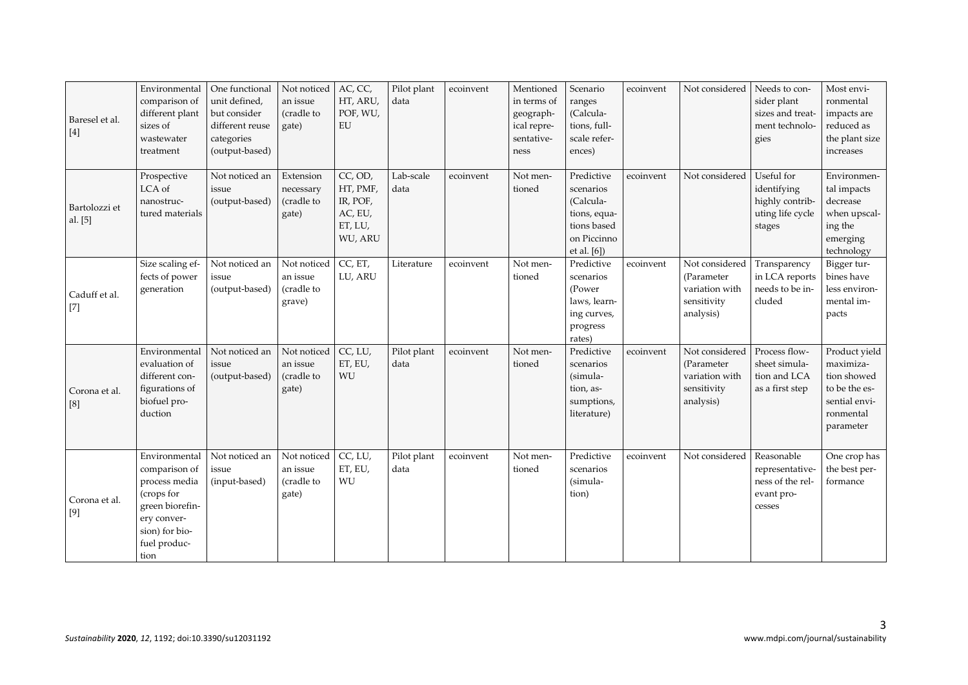| Baresel et al.<br>$[4]$  | Environmental<br>comparison of<br>different plant<br>sizes of<br>wastewater<br>treatment                                                  | One functional<br>unit defined,<br>but consider<br>different reuse<br>categories<br>(output-based) | Not noticed<br>an issue<br>(cradle to<br>gate)  | AC, CC,<br>HT, ARU,<br>POF, WU,<br>EU                            | Pilot plant<br>data | ecoinvent | Mentioned<br>in terms of<br>geograph-<br>ical repre-<br>sentative-<br>ness | Scenario<br>ranges<br>(Calcula-<br>tions, full-<br>scale refer-<br>ences)                         | ecoinvent | Not considered                                                             | Needs to con-<br>sider plant<br>sizes and treat-<br>ment technolo-<br>gies | Most envi-<br>ronmental<br>impacts are<br>reduced as<br>the plant size<br>increases                   |
|--------------------------|-------------------------------------------------------------------------------------------------------------------------------------------|----------------------------------------------------------------------------------------------------|-------------------------------------------------|------------------------------------------------------------------|---------------------|-----------|----------------------------------------------------------------------------|---------------------------------------------------------------------------------------------------|-----------|----------------------------------------------------------------------------|----------------------------------------------------------------------------|-------------------------------------------------------------------------------------------------------|
| Bartolozzi et<br>al. [5] | Prospective<br>LCA of<br>nanostruc-<br>tured materials                                                                                    | Not noticed an<br>issue<br>(output-based)                                                          | Extension<br>necessary<br>(cradle to<br>gate)   | CC, OD,<br>HT, PMF,<br>IR, POF,<br>AC, EU,<br>ET, LU,<br>WU, ARU | Lab-scale<br>data   | ecoinvent | Not men-<br>tioned                                                         | Predictive<br>scenarios<br>(Calcula-<br>tions, equa-<br>tions based<br>on Piccinno<br>et al. [6]) | ecoinvent | Not considered                                                             | Useful for<br>identifying<br>highly contrib-<br>uting life cycle<br>stages | Environmen-<br>tal impacts<br>decrease<br>when upscal-<br>ing the<br>emerging<br>technology           |
| Caduff et al.<br>$[7]$   | Size scaling ef-<br>fects of power<br>generation                                                                                          | Not noticed an<br>issue<br>(output-based)                                                          | Not noticed<br>an issue<br>(cradle to<br>grave) | CC, ET,<br>LU, ARU                                               | Literature          | ecoinvent | Not men-<br>tioned                                                         | Predictive<br>scenarios<br>(Power<br>laws, learn-<br>ing curves,<br>progress<br>rates)            | ecoinvent | Not considered<br>(Parameter<br>variation with<br>sensitivity<br>analysis) | Transparency<br>in LCA reports<br>needs to be in-<br>cluded                | Bigger tur-<br>bines have<br>less environ-<br>mental im-<br>pacts                                     |
| Corona et al.<br>[8]     | Environmental<br>evaluation of<br>different con-<br>figurations of<br>biofuel pro-<br>duction                                             | Not noticed an<br>issue<br>(output-based)                                                          | Not noticed<br>an issue<br>(cradle to<br>gate)  | CC, LU,<br>ET, EU,<br>WU                                         | Pilot plant<br>data | ecoinvent | Not men-<br>tioned                                                         | Predictive<br>scenarios<br>(simula-<br>tion, as-<br>sumptions,<br>literature)                     | ecoinvent | Not considered<br>(Parameter<br>variation with<br>sensitivity<br>analysis) | Process flow-<br>sheet simula-<br>tion and LCA<br>as a first step          | Product yield<br>maximiza-<br>tion showed<br>to be the es-<br>sential envi-<br>ronmental<br>parameter |
| Corona et al.<br>$[9]$   | Environmental<br>comparison of<br>process media<br>(crops for<br>green biorefin-<br>ery conver-<br>sion) for bio-<br>fuel produc-<br>tion | Not noticed an<br>issue<br>(input-based)                                                           | Not noticed<br>an issue<br>(cradle to<br>gate)  | CC, LU,<br>ET, EU,<br>WU                                         | Pilot plant<br>data | ecoinvent | Not men-<br>tioned                                                         | Predictive<br>scenarios<br>(simula-<br>tion)                                                      | ecoinvent | Not considered                                                             | Reasonable<br>representative-<br>ness of the rel-<br>evant pro-<br>cesses  | One crop has<br>the best per-<br>formance                                                             |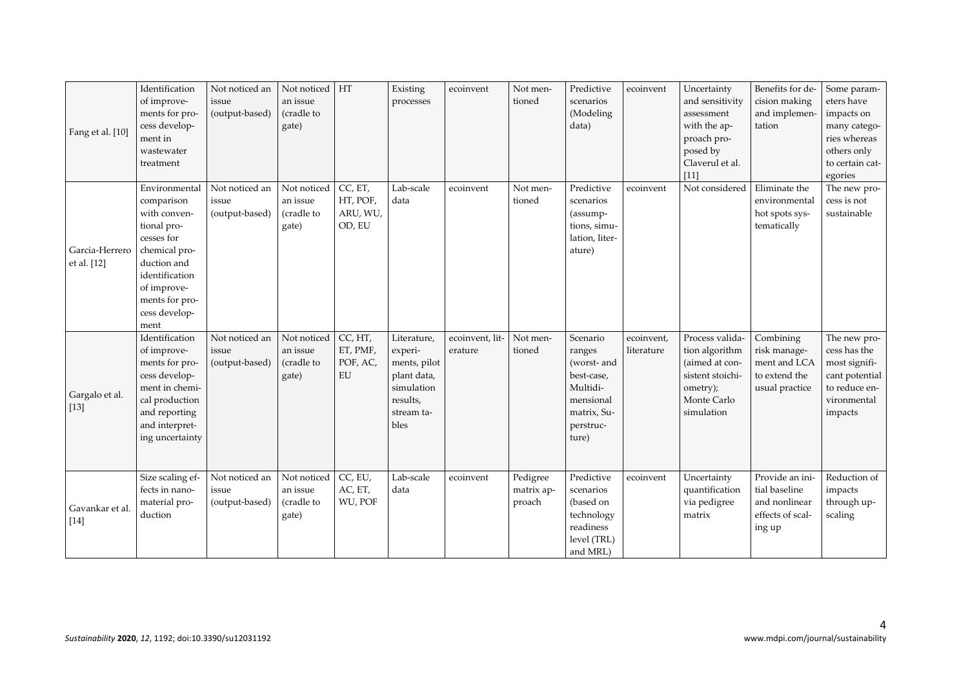| Fang et al. [10]              | Identification<br>of improve-<br>ments for pro-<br>cess develop-<br>ment in<br>wastewater<br>treatment                                                                               | Not noticed an<br>issue<br>(output-based) | Not noticed<br>an issue<br>(cradle to<br>gate) | HT                                        | Existing<br>processes                                                                                 | ecoinvent                  | Not men-<br>tioned               | Predictive<br>scenarios<br>(Modeling<br>data)                                                                 | ecoinvent                | Uncertainty<br>and sensitivity<br>assessment<br>with the ap-<br>proach pro-<br>posed by<br>Claverul et al.<br>$[11]$ | Benefits for de-<br>cision making<br>and implemen-<br>tation                    | Some param-<br>eters have<br>impacts on<br>many catego-<br>ries whereas<br>others only<br>to certain cat-<br>egories |
|-------------------------------|--------------------------------------------------------------------------------------------------------------------------------------------------------------------------------------|-------------------------------------------|------------------------------------------------|-------------------------------------------|-------------------------------------------------------------------------------------------------------|----------------------------|----------------------------------|---------------------------------------------------------------------------------------------------------------|--------------------------|----------------------------------------------------------------------------------------------------------------------|---------------------------------------------------------------------------------|----------------------------------------------------------------------------------------------------------------------|
| Garcia-Herrero<br>et al. [12] | Environmental<br>comparison<br>with conven-<br>tional pro-<br>cesses for<br>chemical pro-<br>duction and<br>identification<br>of improve-<br>ments for pro-<br>cess develop-<br>ment | Not noticed an<br>issue<br>(output-based) | Not noticed<br>an issue<br>(cradle to<br>gate) | CC, ET,<br>HT, POF,<br>ARU, WU,<br>OD, EU | Lab-scale<br>data                                                                                     | ecoinvent                  | Not men-<br>tioned               | Predictive<br>scenarios<br>(assump-<br>tions, simu-<br>lation, liter-<br>ature)                               | ecoinvent                | Not considered                                                                                                       | Eliminate the<br>environmental<br>hot spots sys-<br>tematically                 | The new pro-<br>cess is not<br>sustainable                                                                           |
| Gargalo et al.<br>$[13]$      | Identification<br>of improve-<br>ments for pro-<br>cess develop-<br>ment in chemi-<br>cal production<br>and reporting<br>and interpret-<br>ing uncertainty                           | Not noticed an<br>issue<br>(output-based) | Not noticed<br>an issue<br>(cradle to<br>gate) | CC, HT,<br>ET, PMF,<br>POF, AC,<br>EU     | Literature,<br>experi-<br>ments, pilot<br>plant data,<br>simulation<br>results,<br>stream ta-<br>bles | ecoinvent, lit-<br>erature | Not men-<br>tioned               | Scenario<br>ranges<br>(worst- and<br>best-case,<br>Multidi-<br>mensional<br>matrix, Su-<br>perstruc-<br>ture) | ecoinvent,<br>literature | Process valida-<br>tion algorithm<br>(aimed at con-<br>sistent stoichi-<br>ometry);<br>Monte Carlo<br>simulation     | Combining<br>risk manage-<br>ment and LCA<br>to extend the<br>usual practice    | The new pro-<br>cess has the<br>most signifi-<br>cant potential<br>to reduce en-<br>vironmental<br>impacts           |
| Gavankar et al.<br>$[14]$     | Size scaling ef-<br>fects in nano-<br>material pro-<br>duction                                                                                                                       | Not noticed an<br>issue<br>(output-based) | Not noticed<br>an issue<br>(cradle to<br>gate) | CC, EU,<br>AC, ET,<br>WU, POF             | Lab-scale<br>data                                                                                     | ecoinvent                  | Pedigree<br>matrix ap-<br>proach | Predictive<br>scenarios<br>(based on<br>technology<br>$\rm{readiness}$<br>level (TRL)<br>and MRL)             | ecoinvent                | Uncertainty<br>quantification<br>via pedigree<br>matrix                                                              | Provide an ini-<br>tial baseline<br>and nonlinear<br>effects of scal-<br>ing up | Reduction of<br>impacts<br>through up-<br>scaling                                                                    |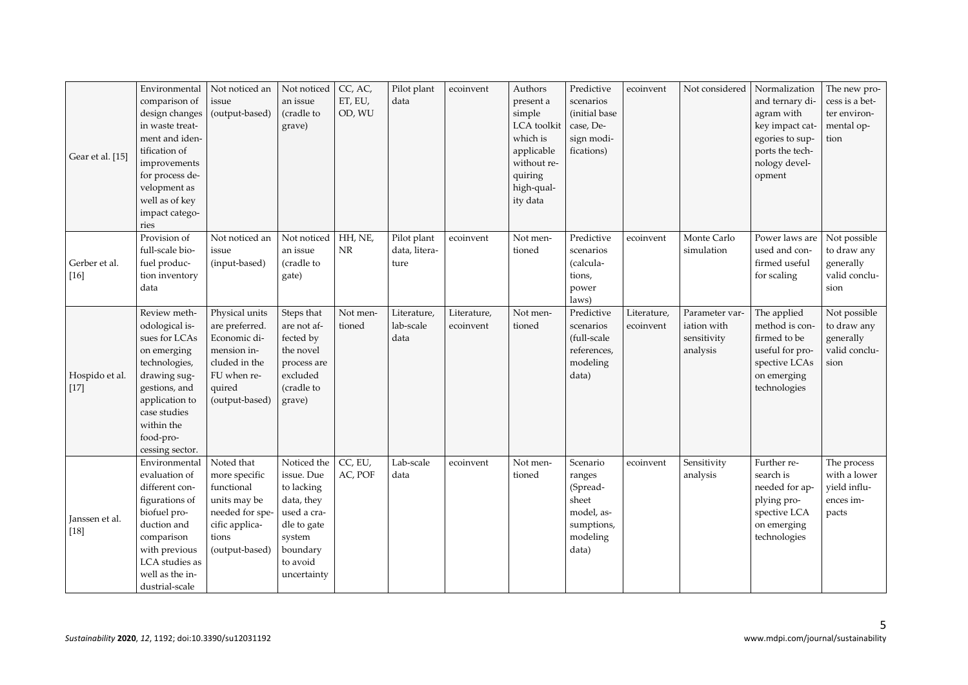| Gear et al. [15]         | Environmental<br>comparison of<br>design changes<br>in waste treat-<br>ment and iden-<br>tification of<br>improvements<br>for process de-<br>velopment as<br>well as of key<br>impact catego-<br>ries | Not noticed an<br>issue<br>(output-based)                                                                                   | Not noticed<br>an issue<br>(cradle to<br>grave)                                                                                      | CC, AC,<br>ET, EU,<br>OD, WU | Pilot plant<br>data                  | ecoinvent                | Authors<br>present a<br>simple<br>LCA toolkit<br>which is<br>applicable<br>without re-<br>quiring<br>high-qual-<br>ity data | Predictive<br>scenarios<br>(initial base<br>case, De-<br>sign modi-<br>fications)        | ecoinvent                | Not considered                                           | Normalization<br>and ternary di-<br>agram with<br>key impact cat-<br>egories to sup-<br>ports the tech-<br>nology devel-<br>opment | The new pro-<br>cess is a bet-<br>ter environ-<br>mental op-<br>tion |
|--------------------------|-------------------------------------------------------------------------------------------------------------------------------------------------------------------------------------------------------|-----------------------------------------------------------------------------------------------------------------------------|--------------------------------------------------------------------------------------------------------------------------------------|------------------------------|--------------------------------------|--------------------------|-----------------------------------------------------------------------------------------------------------------------------|------------------------------------------------------------------------------------------|--------------------------|----------------------------------------------------------|------------------------------------------------------------------------------------------------------------------------------------|----------------------------------------------------------------------|
| Gerber et al.<br>$[16]$  | Provision of<br>full-scale bio-<br>fuel produc-<br>tion inventory<br>data                                                                                                                             | Not noticed an<br>issue<br>(input-based)                                                                                    | Not noticed<br>an issue<br>(cradle to<br>gate)                                                                                       | HH, NE,<br>NR                | Pilot plant<br>data, litera-<br>ture | ecoinvent                | Not men-<br>tioned                                                                                                          | Predictive<br>scenarios<br>(calcula-<br>tions,<br>power<br>laws)                         | ecoinvent                | Monte Carlo<br>simulation                                | Power laws are<br>used and con-<br>firmed useful<br>for scaling                                                                    | Not possible<br>to draw any<br>generally<br>valid conclu-<br>sion    |
| Hospido et al.<br>$[17]$ | Review meth-<br>odological is-<br>sues for LCAs<br>on emerging<br>technologies,<br>drawing sug-<br>gestions, and<br>application to<br>case studies<br>within the<br>food-pro-<br>cessing sector.      | Physical units<br>are preferred.<br>Economic di-<br>mension in-<br>cluded in the<br>FU when re-<br>quired<br>(output-based) | Steps that<br>are not af-<br>fected by<br>the novel<br>process are<br>excluded<br>(cradle to<br>grave)                               | Not men-<br>tioned           | Literature,<br>lab-scale<br>data     | Literature,<br>ecoinvent | Not men-<br>tioned                                                                                                          | Predictive<br>scenarios<br>(full-scale<br>references,<br>modeling<br>data)               | Literature,<br>ecoinvent | Parameter var-<br>iation with<br>sensitivity<br>analysis | The applied<br>method is con-<br>firmed to be<br>useful for pro-<br>spective LCAs<br>on emerging<br>technologies                   | Not possible<br>to draw any<br>generally<br>valid conclu-<br>sion    |
| Janssen et al.<br>$[18]$ | Environmental<br>evaluation of<br>different con-<br>figurations of<br>biofuel pro-<br>duction and<br>comparison<br>with previous<br>LCA studies as<br>well as the in-<br>dustrial-scale               | Noted that<br>more specific<br>functional<br>units may be<br>needed for spe-<br>cific applica-<br>tions<br>(output-based)   | Noticed the<br>issue. Due<br>to lacking<br>data, they<br>used a cra-<br>dle to gate<br>system<br>boundary<br>to avoid<br>uncertainty | CC, EU,<br>AC, POF           | Lab-scale<br>data                    | ecoinvent                | Not men-<br>tioned                                                                                                          | Scenario<br>ranges<br>(Spread-<br>sheet<br>model, as-<br>sumptions,<br>modeling<br>data) | ecoinvent                | Sensitivity<br>analysis                                  | Further re-<br>search is<br>needed for ap-<br>plying pro-<br>spective LCA<br>on emerging<br>technologies                           | The process<br>with a lower<br>yield influ-<br>ences im-<br>pacts    |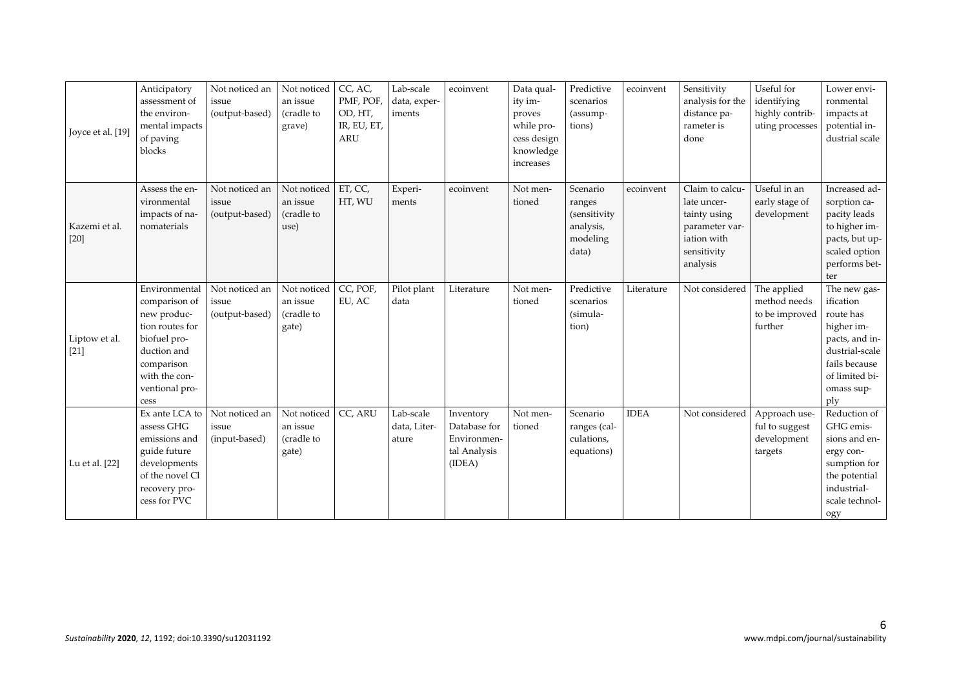| Joyce et al. [19]       | Anticipatory<br>assessment of<br>the environ-<br>mental impacts<br>of paving<br>blocks                                                                   | Not noticed an<br>issue<br>(output-based) | Not noticed<br>an issue<br>(cradle to<br>grave) | CC, AC,<br>PMF, POF,<br>OD, HT,<br>IR, EU, ET,<br><b>ARU</b> | Lab-scale<br>data, exper-<br>iments | ecoinvent                                                          | Data qual-<br>ity im-<br>proves<br>while pro-<br>cess design<br>knowledge<br>increases | Predictive<br>scenarios<br>(assump-<br>tions)                        | ecoinvent   | Sensitivity<br>analysis for the<br>distance pa-<br>rameter is<br>done                                      | Useful for<br>identifying<br>highly contrib-<br>uting processes | Lower envi-<br>ronmental<br>impacts at<br>potential in-<br>dustrial scale                                                                        |
|-------------------------|----------------------------------------------------------------------------------------------------------------------------------------------------------|-------------------------------------------|-------------------------------------------------|--------------------------------------------------------------|-------------------------------------|--------------------------------------------------------------------|----------------------------------------------------------------------------------------|----------------------------------------------------------------------|-------------|------------------------------------------------------------------------------------------------------------|-----------------------------------------------------------------|--------------------------------------------------------------------------------------------------------------------------------------------------|
| Kazemi et al.<br>$[20]$ | Assess the en-<br>vironmental<br>impacts of na-<br>nomaterials                                                                                           | Not noticed an<br>issue<br>(output-based) | Not noticed<br>an issue<br>(cradle to<br>use)   | ET, CC,<br>HT, WU                                            | Experi-<br>ments                    | ecoinvent                                                          | Not men-<br>tioned                                                                     | Scenario<br>ranges<br>(sensitivity<br>analysis,<br>modeling<br>data) | ecoinvent   | Claim to calcu-<br>late uncer-<br>tainty using<br>parameter var-<br>iation with<br>sensitivity<br>analysis | Useful in an<br>early stage of<br>development                   | Increased ad-<br>sorption ca-<br>pacity leads<br>to higher im-<br>pacts, but up-<br>scaled option<br>performs bet-<br>ter                        |
| Liptow et al.<br>$[21]$ | Environmental<br>comparison of<br>new produc-<br>tion routes for<br>biofuel pro-<br>duction and<br>comparison<br>with the con-<br>ventional pro-<br>cess | Not noticed an<br>issue<br>(output-based) | Not noticed<br>an issue<br>(cradle to<br>gate)  | CC, POF,<br>EU, AC                                           | Pilot plant<br>data                 | Literature                                                         | Not men-<br>tioned                                                                     | Predictive<br>scenarios<br>(simula-<br>tion)                         | Literature  | Not considered                                                                                             | The applied<br>method needs<br>to be improved<br>further        | The new gas-<br>ification<br>route has<br>higher im-<br>pacts, and in-<br>dustrial-scale<br>fails because<br>of limited bi-<br>omass sup-<br>ply |
| Lu et al. [22]          | Ex ante LCA to<br>assess GHG<br>emissions and<br>guide future<br>developments<br>of the novel Cl<br>recovery pro-<br>cess for PVC                        | Not noticed an<br>issue<br>(input-based)  | Not noticed<br>an issue<br>(cradle to<br>gate)  | CC, ARU                                                      | Lab-scale<br>data, Liter-<br>ature  | Inventory<br>Database for<br>Environmen-<br>tal Analysis<br>(IDEA) | Not men-<br>tioned                                                                     | Scenario<br>ranges (cal-<br>culations,<br>equations)                 | <b>IDEA</b> | Not considered                                                                                             | Approach use-<br>ful to suggest<br>development<br>targets       | Reduction of<br>GHG emis-<br>sions and en-<br>ergy con-<br>sumption for<br>the potential<br>industrial-<br>scale technol-<br>ogy                 |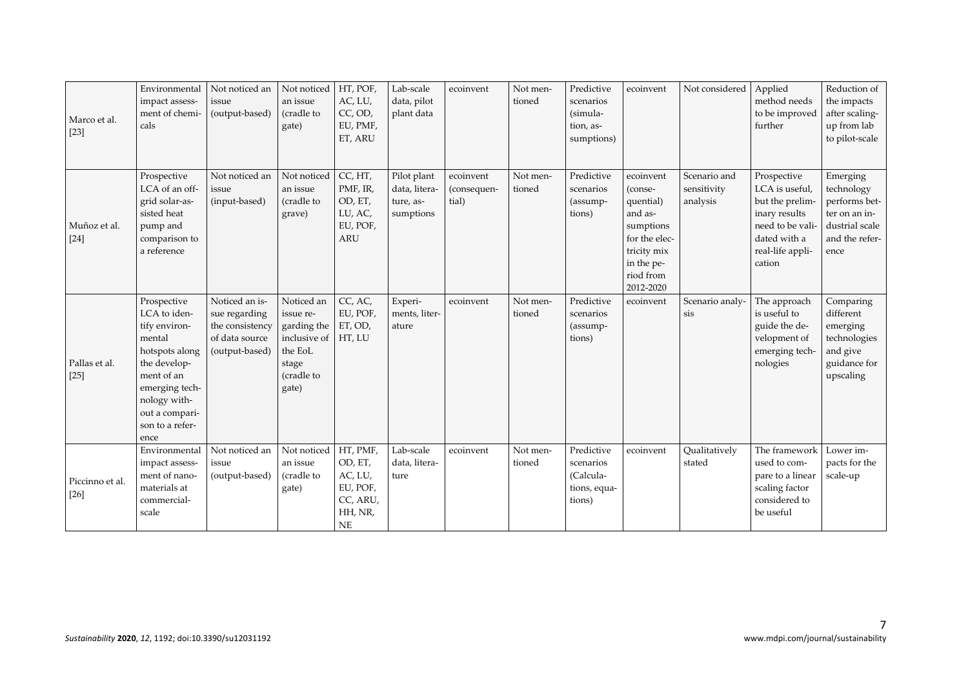| Marco et al.<br>$[23]$    | Environmental<br>impact assess-<br>ment of chemi-<br>cals                                                                                                                             | Not noticed an<br>issue<br>(output-based)                                              | Not noticed<br>an issue<br>(cradle to<br>gate)                                                                      | HT, POF,<br>AC, LU,<br>CC, OD,<br>EU, PMF,<br>ET, ARU                          | Lab-scale<br>data, pilot<br>plant data                 | ecoinvent                         | Not men-<br>tioned | Predictive<br>scenarios<br>(simula-<br>tion, as-<br>sumptions) | ecoinvent                                                                                                                         | Not considered                          | Applied<br>method needs<br>to be improved<br>further                                                                                | Reduction of<br>the impacts<br>after scaling-<br>up from lab<br>to pilot-scale                       |
|---------------------------|---------------------------------------------------------------------------------------------------------------------------------------------------------------------------------------|----------------------------------------------------------------------------------------|---------------------------------------------------------------------------------------------------------------------|--------------------------------------------------------------------------------|--------------------------------------------------------|-----------------------------------|--------------------|----------------------------------------------------------------|-----------------------------------------------------------------------------------------------------------------------------------|-----------------------------------------|-------------------------------------------------------------------------------------------------------------------------------------|------------------------------------------------------------------------------------------------------|
| Muñoz et al.<br>$[24]$    | Prospective<br>LCA of an off-<br>grid solar-as-<br>sisted heat<br>pump and<br>comparison to<br>a reference                                                                            | Not noticed an<br>issue<br>(input-based)                                               | Not noticed<br>an issue<br>(cradle to<br>grave)                                                                     | CC, HT,<br>PMF, IR,<br>OD, ET,<br>LU, AC,<br>EU, POF,<br><b>ARU</b>            | Pilot plant<br>data, litera-<br>ture, as-<br>sumptions | ecoinvent<br>(consequen-<br>tial) | Not men-<br>tioned | Predictive<br>scenarios<br>(assump-<br>tions)                  | ecoinvent<br>(conse-<br>quential)<br>and as-<br>sumptions<br>for the elec-<br>tricity mix<br>in the pe-<br>riod from<br>2012-2020 | Scenario and<br>sensitivity<br>analysis | Prospective<br>LCA is useful,<br>but the prelim-<br>inary results<br>need to be vali-<br>dated with a<br>real-life appli-<br>cation | Emerging<br>technology<br>performs bet-<br>ter on an in-<br>dustrial scale<br>and the refer-<br>ence |
| Pallas et al.<br>$[25]$   | Prospective<br>LCA to iden-<br>tify environ-<br>mental<br>hotspots along<br>the develop-<br>ment of an<br>emerging tech-<br>nology with-<br>out a compari-<br>son to a refer-<br>ence | Noticed an is-<br>sue regarding<br>the consistency<br>of data source<br>(output-based) | Noticed an<br>issue re-<br>garding the $ ET, OD,$<br>inclusive of HT, LU<br>the EoL<br>stage<br>(cradle to<br>gate) | CC, AC,<br>EU, POF,                                                            | Experi-<br>ments, liter-<br>ature                      | ecoinvent                         | Not men-<br>tioned | Predictive<br>scenarios<br>(assump-<br>tions)                  | ecoinvent                                                                                                                         | Scenario analy-<br>sis                  | The approach<br>is useful to<br>guide the de-<br>velopment of<br>emerging tech-<br>nologies                                         | Comparing<br>different<br>emerging<br>technologies<br>and give<br>guidance for<br>upscaling          |
| Piccinno et al.<br>$[26]$ | Environmental<br>impact assess-<br>ment of nano-<br>materials at<br>commercial-<br>scale                                                                                              | Not noticed an<br>issue<br>(output-based)                                              | Not noticed<br>an issue<br>(cradle to<br>gate)                                                                      | HT, PMF,<br>OD, ET,<br>AC, LU,<br>EU, POF,<br>CC, ARU,<br>HH, NR,<br><b>NE</b> | Lab-scale<br>data, litera-<br>ture                     | ecoinvent                         | Not men-<br>tioned | Predictive<br>scenarios<br>(Calcula-<br>tions, equa-<br>tions) | ecoinvent                                                                                                                         | Qualitatively<br>stated                 | The framework<br>used to com-<br>pare to a linear<br>scaling factor<br>considered to<br>be useful                                   | Lower im-<br>pacts for the<br>scale-up                                                               |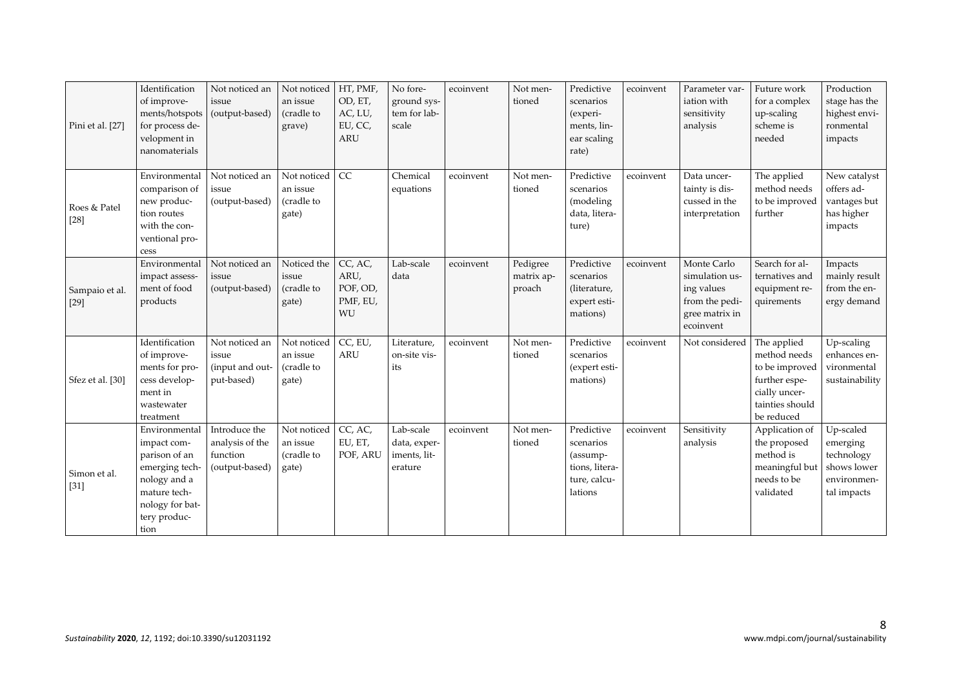| Pini et al. [27]         | Identification<br>of improve-<br>ments/hotspots<br>for process de-<br>velopment in<br>nanomaterials                                        | Not noticed an<br>issue<br>(output-based)                      | Not noticed<br>an issue<br>(cradle to<br>grave) | HT, PMF,<br>OD, ET,<br>AC, LU,<br>EU, CC,<br><b>ARU</b> | No fore-<br>ground sys-<br>tem for lab-<br>scale     | ecoinvent | Not men-<br>tioned               | Predictive<br>scenarios<br>(experi-<br>ments, lin-<br>ear scaling<br>rate)       | ecoinvent | Parameter var-<br>iation with<br>sensitivity<br>analysis                                     | Future work<br>for a complex<br>up-scaling<br>scheme is<br>needed                                                | Production<br>stage has the<br>highest envi-<br>ronmental<br>impacts             |
|--------------------------|--------------------------------------------------------------------------------------------------------------------------------------------|----------------------------------------------------------------|-------------------------------------------------|---------------------------------------------------------|------------------------------------------------------|-----------|----------------------------------|----------------------------------------------------------------------------------|-----------|----------------------------------------------------------------------------------------------|------------------------------------------------------------------------------------------------------------------|----------------------------------------------------------------------------------|
| Roes & Patel<br>$[28]$   | Environmental<br>comparison of<br>new produc-<br>tion routes<br>with the con-<br>ventional pro-<br>cess                                    | Not noticed an<br>issue<br>(output-based)                      | Not noticed<br>an issue<br>(cradle to<br>gate)  | CC                                                      | Chemical<br>equations                                | ecoinvent | Not men-<br>tioned               | Predictive<br>scenarios<br>(modeling<br>data, litera-<br>ture)                   | ecoinvent | Data uncer-<br>tainty is dis-<br>cussed in the<br>interpretation                             | The applied<br>method needs<br>to be improved<br>further                                                         | New catalyst<br>offers ad-<br>vantages but<br>has higher<br>impacts              |
| Sampaio et al.<br>$[29]$ | Environmental<br>impact assess-<br>ment of food<br>products                                                                                | Not noticed an<br>issue<br>(output-based)                      | Noticed the<br>issue<br>(cradle to<br>gate)     | CC, AC,<br>ARU,<br>POF, OD,<br>PMF, EU,<br>WU           | Lab-scale<br>data                                    | ecoinvent | Pedigree<br>matrix ap-<br>proach | Predictive<br>scenarios<br>(literature,<br>expert esti-<br>mations)              | ecoinvent | Monte Carlo<br>simulation us-<br>ing values<br>from the pedi-<br>gree matrix in<br>ecoinvent | Search for al-<br>ternatives and<br>equipment re-<br>quirements                                                  | Impacts<br>mainly result<br>from the en-<br>ergy demand                          |
| Sfez et al. [30]         | Identification<br>of improve-<br>ments for pro-<br>cess develop-<br>ment in<br>wastewater<br>treatment                                     | Not noticed an<br>issue<br>(input and out-<br>put-based)       | Not noticed<br>an issue<br>(cradle to<br>gate)  | CC, EU,<br><b>ARU</b>                                   | Literature,<br>on-site vis-<br>its                   | ecoinvent | Not men-<br>tioned               | Predictive<br>scenarios<br>(expert esti-<br>mations)                             | ecoinvent | Not considered                                                                               | The applied<br>method needs<br>to be improved<br>further espe-<br>cially uncer-<br>tainties should<br>be reduced | Up-scaling<br>enhances en-<br>vironmental<br>sustainability                      |
| Simon et al.<br>$[31]$   | Environmental<br>impact com-<br>parison of an<br>emerging tech-<br>nology and a<br>mature tech-<br>nology for bat-<br>tery produc-<br>tion | Introduce the<br>analysis of the<br>function<br>(output-based) | Not noticed<br>an issue<br>(cradle to<br>gate)  | CC, AC,<br>EU, ET,<br>POF, ARU                          | Lab-scale<br>data, exper-<br>iments, lit-<br>erature | ecoinvent | Not men-<br>tioned               | Predictive<br>scenarios<br>(assump-<br>tions, litera-<br>ture, calcu-<br>lations | ecoinvent | Sensitivity<br>analysis                                                                      | Application of<br>the proposed<br>method is<br>meaningful but<br>needs to be<br>validated                        | Up-scaled<br>emerging<br>technology<br>shows lower<br>environmen-<br>tal impacts |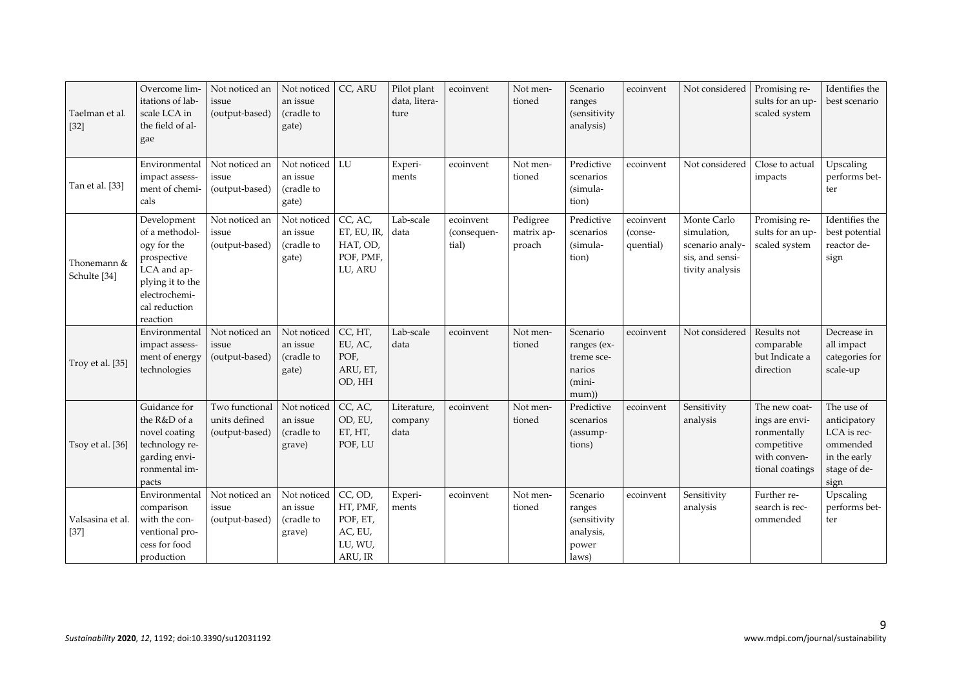| Taelman et al.<br>$[32]$    | Overcome lim-<br>itations of lab-<br>scale LCA in<br>the field of al-<br>gae                                                                 | Not noticed an<br>issue<br>(output-based)         | Not noticed<br>an issue<br>(cradle to<br>gate)  | CC, ARU                                                          | Pilot plant<br>data, litera-<br>ture | ecoinvent                         | Not men-<br>tioned               | Scenario<br>ranges<br>(sensitivity)<br>analysis)                   | ecoinvent                         | Not considered                                                                      | Promising re-<br>sults for an up-<br>scaled system                                               | Identifies the<br>best scenario                                                               |
|-----------------------------|----------------------------------------------------------------------------------------------------------------------------------------------|---------------------------------------------------|-------------------------------------------------|------------------------------------------------------------------|--------------------------------------|-----------------------------------|----------------------------------|--------------------------------------------------------------------|-----------------------------------|-------------------------------------------------------------------------------------|--------------------------------------------------------------------------------------------------|-----------------------------------------------------------------------------------------------|
| Tan et al. [33]             | Environmental<br>impact assess-<br>ment of chemi-<br>cals                                                                                    | Not noticed an<br>issue<br>(output-based)         | Not noticed<br>an issue<br>(cradle to<br>gate)  | LU                                                               | Experi-<br>ments                     | ecoinvent                         | Not men-<br>tioned               | Predictive<br>scenarios<br>(simula-<br>tion)                       | ecoinvent                         | Not considered                                                                      | Close to actual<br>impacts                                                                       | Upscaling<br>performs bet-<br>ter                                                             |
| Thonemann &<br>Schulte [34] | Development<br>of a methodol-<br>ogy for the<br>prospective<br>LCA and ap-<br>plying it to the<br>electrochemi-<br>cal reduction<br>reaction | Not noticed an<br>issue<br>(output-based)         | Not noticed<br>an issue<br>(cradle to<br>gate)  | CC, AC,<br>ET, EU, IR,<br>HAT, OD,<br>POF, PMF,<br>LU, ARU       | Lab-scale<br>data                    | ecoinvent<br>(consequen-<br>tial) | Pedigree<br>matrix ap-<br>proach | Predictive<br>scenarios<br>(simula-<br>tion)                       | ecoinvent<br>(conse-<br>quential) | Monte Carlo<br>simulation,<br>scenario analy-<br>sis, and sensi-<br>tivity analysis | Promising re-<br>sults for an up-<br>scaled system                                               | Identifies the<br>best potential<br>reactor de-<br>sign                                       |
| Troy et al. [35]            | Environmental<br>impact assess-<br>ment of energy<br>technologies                                                                            | Not noticed an<br>issue<br>(output-based)         | Not noticed<br>an issue<br>(cradle to<br>gate)  | CC, HT,<br>EU, AC,<br>POF,<br>ARU, ET,<br>OD, HH                 | Lab-scale<br>data                    | ecoinvent                         | Not men-<br>tioned               | Scenario<br>ranges (ex-<br>treme sce-<br>narios<br>(mini-<br>mum)) | ecoinvent                         | Not considered                                                                      | Results not<br>comparable<br>but Indicate a<br>direction                                         | Decrease in<br>all impact<br>categories for<br>scale-up                                       |
| Tsoy et al. [36]            | Guidance for<br>the R&D of a<br>novel coating<br>technology re-<br>garding envi-<br>ronmental im-<br>pacts                                   | Two functional<br>units defined<br>(output-based) | Not noticed<br>an issue<br>(cradle to<br>grave) | $\overline{CC}$ , AC,<br>OD, EU,<br>ET, HT,<br>POF, LU           | Literature,<br>company<br>data       | ecoinvent                         | Not men-<br>tioned               | Predictive<br>scenarios<br>(assump-<br>tions)                      | ecoinvent                         | Sensitivity<br>analysis                                                             | The new coat-<br>ings are envi-<br>ronmentally<br>competitive<br>with conven-<br>tional coatings | The use of<br>anticipatory<br>LCA is rec-<br>ommended<br>in the early<br>stage of de-<br>sign |
| Valsasina et al.<br>$[37]$  | Environmental<br>comparison<br>with the con-<br>ventional pro-<br>cess for food<br>production                                                | Not noticed an<br>issue<br>(output-based)         | Not noticed<br>an issue<br>(cradle to<br>grave) | CC, OD,<br>HT, PMF,<br>POF, ET,<br>AC, EU,<br>LU, WU,<br>ARU, IR | Experi-<br>ments                     | ecoinvent                         | Not men-<br>tioned               | Scenario<br>ranges<br>(sensitivity<br>analysis,<br>power<br>laws)  | ecoinvent                         | Sensitivity<br>analysis                                                             | Further re-<br>search is rec-<br>ommended                                                        | Upscaling<br>performs bet-<br>ter                                                             |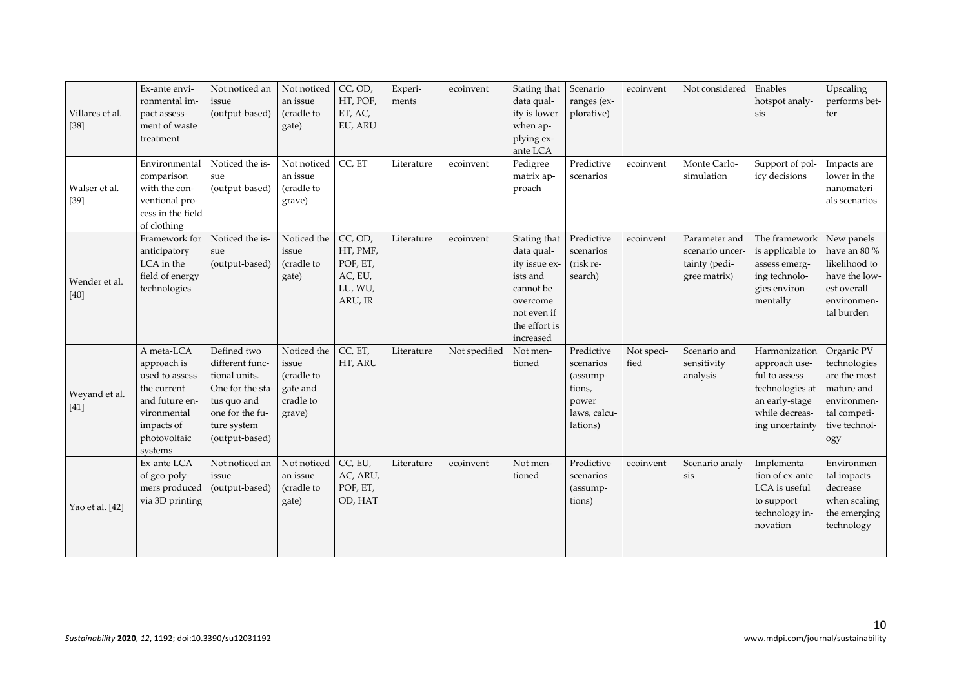| Villares et al.<br>$[38]$ | Ex-ante envi-<br>ronmental im-<br>pact assess-<br>ment of waste<br>treatment                                                         | Not noticed an<br>issue<br>(output-based)                                                                                              | Not noticed<br>an issue<br>(cradle to<br>gate)                        | CC, OD,<br>HT, POF,<br>ET, AC,<br>EU, ARU                        | Experi-<br>ments | ecoinvent     | Stating that<br>data qual-<br>ity is lower<br>when ap-<br>plying ex-<br>ante LCA                                              | Scenario<br>ranges (ex-<br>plorative)                                              | ecoinvent          | Not considered                                                    | Enables<br>hotspot analy-<br>sis                                                                                          | Upscaling<br>performs bet-<br>ter                                                                               |
|---------------------------|--------------------------------------------------------------------------------------------------------------------------------------|----------------------------------------------------------------------------------------------------------------------------------------|-----------------------------------------------------------------------|------------------------------------------------------------------|------------------|---------------|-------------------------------------------------------------------------------------------------------------------------------|------------------------------------------------------------------------------------|--------------------|-------------------------------------------------------------------|---------------------------------------------------------------------------------------------------------------------------|-----------------------------------------------------------------------------------------------------------------|
| Walser et al.<br>$[39]$   | Environmental<br>comparison<br>with the con-<br>ventional pro-<br>cess in the field<br>of clothing                                   | Noticed the is-<br>sue<br>(output-based)                                                                                               | Not noticed<br>an issue<br>(cradle to<br>grave)                       | CC, ET                                                           | Literature       | ecoinvent     | Pedigree<br>matrix ap-<br>proach                                                                                              | Predictive<br>scenarios                                                            | ecoinvent          | Monte Carlo-<br>simulation                                        | Support of pol-<br>icy decisions                                                                                          | Impacts are<br>lower in the<br>nanomateri-<br>als scenarios                                                     |
| Wender et al.<br>$[40]$   | Framework for<br>anticipatory<br>LCA in the<br>field of energy<br>technologies                                                       | Noticed the is-<br>sue<br>(output-based)                                                                                               | Noticed the<br>issue<br>(cradle to<br>gate)                           | CC, OD,<br>HT, PMF,<br>POF, ET,<br>AC, EU,<br>LU, WU,<br>ARU, IR | Literature       | ecoinvent     | Stating that<br>data qual-<br>ity issue ex-<br>ists and<br>cannot be<br>overcome<br>not even if<br>the effort is<br>increased | Predictive<br>scenarios<br>(risk re-<br>search)                                    | ecoinvent          | Parameter and<br>scenario uncer-<br>tainty (pedi-<br>gree matrix) | The framework New panels<br>is applicable to<br>assess emerg-<br>ing technolo-<br>gies environ-<br>mentally               | have an 80 $\%$<br>likelihood to<br>have the low-<br>est overall<br>environmen-<br>tal burden                   |
| Weyand et al.<br>$[41]$   | A meta-LCA<br>approach is<br>used to assess<br>the current<br>and future en-<br>vironmental<br>impacts of<br>photovoltaic<br>systems | Defined two<br>different func-<br>tional units.<br>One for the sta-<br>tus quo and<br>one for the fu-<br>ture system<br>(output-based) | Noticed the<br>issue<br>(cradle to<br>gate and<br>cradle to<br>grave) | CC, ET,<br>HT, ARU                                               | Literature       | Not specified | Not men-<br>tioned                                                                                                            | Predictive<br>scenarios<br>(assump-<br>tions,<br>power<br>laws, calcu-<br>lations) | Not speci-<br>fied | Scenario and<br>sensitivity<br>analysis                           | Harmonization<br>approach use-<br>ful to assess<br>technologies at<br>an early-stage<br>while decreas-<br>ing uncertainty | Organic PV<br>technologies<br>are the most<br>mature and<br>environmen-<br>tal competi-<br>tive technol-<br>ogy |
| Yao et al. [42]           | Ex-ante LCA<br>of geo-poly-<br>mers produced<br>via 3D printing                                                                      | Not noticed an<br>issue<br>(output-based)                                                                                              | Not noticed<br>an issue<br>(cradle to<br>gate)                        | CC, EU,<br>AC, ARU,<br>POF, ET,<br>OD, HAT                       | Literature       | ecoinvent     | Not men-<br>tioned                                                                                                            | Predictive<br>scenarios<br>(assump-<br>tions)                                      | ecoinvent          | Scenario analy-<br>sis                                            | Implementa-<br>tion of ex-ante<br>LCA is useful<br>to support<br>technology in-<br>novation                               | Environmen-<br>tal impacts<br>decrease<br>when scaling<br>the emerging<br>technology                            |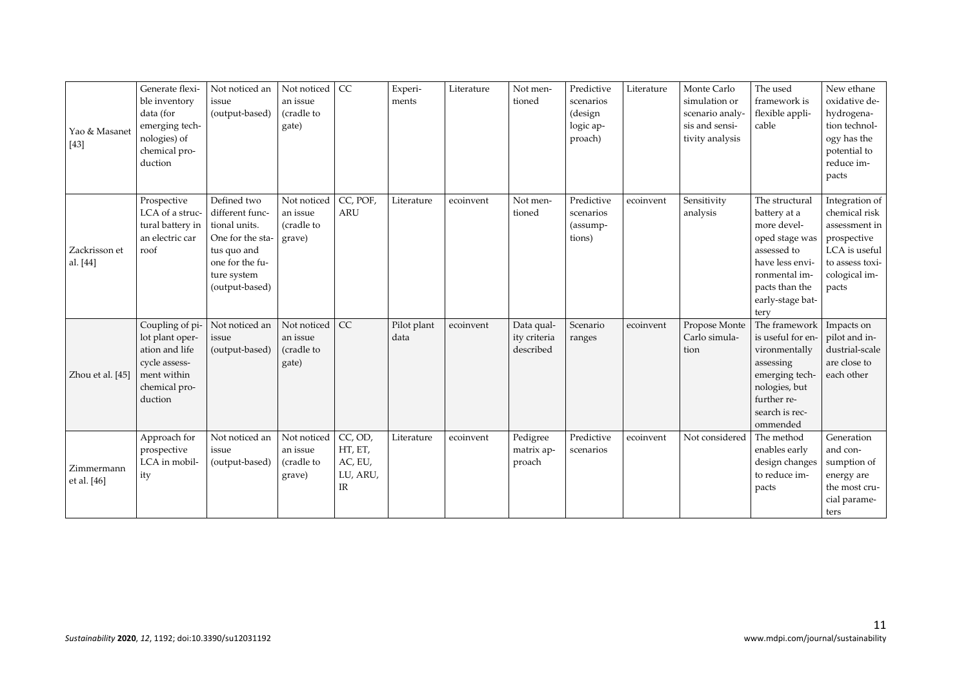| Yao & Masanet<br>$[43]$   | Generate flexi-<br>ble inventory<br>data (for<br>emerging tech-<br>nologies) of<br>chemical pro-<br>duction      | Not noticed an<br>issue<br>(output-based)                                                                                              | Not noticed<br>an issue<br>(cradle to<br>gate)  | CC                                                          | Experi-<br>ments    | Literature | Not men-<br>tioned                      | Predictive<br>scenarios<br>(design<br>logic ap-<br>proach) | Literature | Monte Carlo<br>simulation or<br>scenario analy-<br>sis and sensi-<br>tivity analysis | The used<br>framework is<br>flexible appli-<br>cable                                                                                                             | New ethane<br>oxidative de-<br>hydrogena-<br>tion technol-<br>ogy has the<br>potential to<br>reduce im-<br>pacts              |
|---------------------------|------------------------------------------------------------------------------------------------------------------|----------------------------------------------------------------------------------------------------------------------------------------|-------------------------------------------------|-------------------------------------------------------------|---------------------|------------|-----------------------------------------|------------------------------------------------------------|------------|--------------------------------------------------------------------------------------|------------------------------------------------------------------------------------------------------------------------------------------------------------------|-------------------------------------------------------------------------------------------------------------------------------|
| Zackrisson et<br>al. [44] | Prospective<br>LCA of a struc-<br>tural battery in<br>an electric car<br>roof                                    | Defined two<br>different func-<br>tional units.<br>One for the sta-<br>tus quo and<br>one for the fu-<br>ture system<br>(output-based) | Not noticed<br>an issue<br>(cradle to<br>grave) | CC, POF,<br><b>ARU</b>                                      | Literature          | ecoinvent  | Not men-<br>tioned                      | Predictive<br>scenarios<br>(assump-<br>tions)              | ecoinvent  | Sensitivity<br>analysis                                                              | The structural<br>battery at a<br>more devel-<br>oped stage was<br>assessed to<br>have less envi-<br>ronmental im-<br>pacts than the<br>early-stage bat-<br>tery | Integration of<br>chemical risk<br>assessment in<br>prospective<br>LCA is useful<br>to assess toxi-<br>cological im-<br>pacts |
| Zhou et al. [45]          | Coupling of pi-<br>lot plant oper-<br>ation and life<br>cycle assess-<br>ment within<br>chemical pro-<br>duction | Not noticed an<br>issue<br>(output-based)                                                                                              | Not noticed<br>an issue<br>(cradle to<br>gate)  | CC                                                          | Pilot plant<br>data | ecoinvent  | Data qual-<br>ity criteria<br>described | Scenario<br>ranges                                         | ecoinvent  | Propose Monte<br>Carlo simula-<br>tion                                               | The framework<br>is useful for en-<br>vironmentally<br>assessing<br>emerging tech-<br>nologies, but<br>further re-<br>search is rec-<br>ommended                 | Impacts on<br>pilot and in-<br>dustrial-scale<br>are close to<br>each other                                                   |
| Zimmermann<br>et al. [46] | Approach for<br>prospective<br>LCA in mobil-<br>ity                                                              | Not noticed an<br>issue<br>(output-based)                                                                                              | Not noticed<br>an issue<br>(cradle to<br>grave) | CC, OD,<br>HT, ET,<br>AC, EU,<br>LU, ARU,<br>$_{\text{IR}}$ | Literature          | ecoinvent  | Pedigree<br>matrix ap-<br>proach        | Predictive<br>scenarios                                    | ecoinvent  | Not considered                                                                       | The method<br>enables early<br>design changes<br>to reduce im-<br>pacts                                                                                          | Generation<br>and con-<br>sumption of<br>energy are<br>the most cru-<br>cial parame-<br>ters                                  |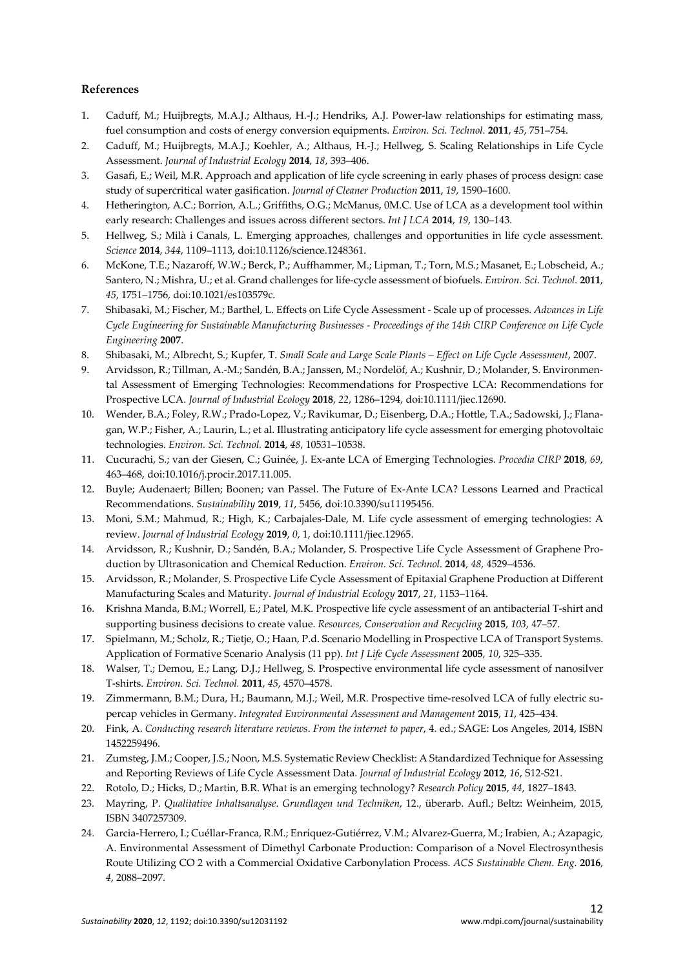## **References**

- 1. Caduff, M.; Huijbregts, M.A.J.; Althaus, H.-J.; Hendriks, A.J. Power-law relationships for estimating mass, fuel consumption and costs of energy conversion equipments. *Environ. Sci. Technol.* **2011**, *45*, 751–754.
- 2. Caduff, M.; Huijbregts, M.A.J.; Koehler, A.; Althaus, H.-J.; Hellweg, S. Scaling Relationships in Life Cycle Assessment. *Journal of Industrial Ecology* **2014**, *18*, 393–406.
- 3. Gasafi, E.; Weil, M.R. Approach and application of life cycle screening in early phases of process design: case study of supercritical water gasification. *Journal of Cleaner Production* **2011**, *19*, 1590–1600.
- 4. Hetherington, A.C.; Borrion, A.L.; Griffiths, O.G.; McManus, 0M.C. Use of LCA as a development tool within early research: Challenges and issues across different sectors. *Int J LCA* **2014**, *19*, 130–143.
- 5. Hellweg, S.; Milà i Canals, L. Emerging approaches, challenges and opportunities in life cycle assessment. *Science* **2014**, *344*, 1109–1113, doi:10.1126/science.1248361.
- 6. McKone, T.E.; Nazaroff, W.W.; Berck, P.; Auffhammer, M.; Lipman, T.; Torn, M.S.; Masanet, E.; Lobscheid, A.; Santero, N.; Mishra, U.; et al. Grand challenges for life-cycle assessment of biofuels. *Environ. Sci. Technol.* **2011**, *45*, 1751–1756, doi:10.1021/es103579c.
- 7. Shibasaki, M.; Fischer, M.; Barthel, L. Effects on Life Cycle Assessment Scale up of processes. *Advances in Life Cycle Engineering for Sustainable Manufacturing Businesses - Proceedings of the 14th CIRP Conference on Life Cycle Engineering* **2007**.
- 8. Shibasaki, M.; Albrecht, S.; Kupfer, T. *Small Scale and Large Scale Plants Effect on Life Cycle Assessment*, 2007.
- 9. Arvidsson, R.; Tillman, A.-M.; Sandén, B.A.; Janssen, M.; Nordelöf, A.; Kushnir, D.; Molander, S. Environmental Assessment of Emerging Technologies: Recommendations for Prospective LCA: Recommendations for Prospective LCA. *Journal of Industrial Ecology* **2018**, *22*, 1286–1294, doi:10.1111/jiec.12690.
- 10. Wender, B.A.; Foley, R.W.; Prado-Lopez, V.; Ravikumar, D.; Eisenberg, D.A.; Hottle, T.A.; Sadowski, J.; Flanagan, W.P.; Fisher, A.; Laurin, L.; et al. Illustrating anticipatory life cycle assessment for emerging photovoltaic technologies. *Environ. Sci. Technol.* **2014**, *48*, 10531–10538.
- 11. Cucurachi, S.; van der Giesen, C.; Guinée, J. Ex-ante LCA of Emerging Technologies. *Procedia CIRP* **2018**, *69*, 463–468, doi:10.1016/j.procir.2017.11.005.
- 12. Buyle; Audenaert; Billen; Boonen; van Passel. The Future of Ex-Ante LCA? Lessons Learned and Practical Recommendations. *Sustainability* **2019**, *11*, 5456, doi:10.3390/su11195456.
- 13. Moni, S.M.; Mahmud, R.; High, K.; Carbajales-Dale, M. Life cycle assessment of emerging technologies: A review. *Journal of Industrial Ecology* **2019**, *0*, 1, doi:10.1111/jiec.12965.
- 14. Arvidsson, R.; Kushnir, D.; Sandén, B.A.; Molander, S. Prospective Life Cycle Assessment of Graphene Production by Ultrasonication and Chemical Reduction. *Environ. Sci. Technol.* **2014**, *48*, 4529–4536.
- 15. Arvidsson, R.; Molander, S. Prospective Life Cycle Assessment of Epitaxial Graphene Production at Different Manufacturing Scales and Maturity. *Journal of Industrial Ecology* **2017**, *21*, 1153–1164.
- 16. Krishna Manda, B.M.; Worrell, E.; Patel, M.K. Prospective life cycle assessment of an antibacterial T-shirt and supporting business decisions to create value. *Resources, Conservation and Recycling* **2015**, *103*, 47–57.
- 17. Spielmann, M.; Scholz, R.; Tietje, O.; Haan, P.d. Scenario Modelling in Prospective LCA of Transport Systems. Application of Formative Scenario Analysis (11 pp). *Int J Life Cycle Assessment* **2005**, *10*, 325–335.
- 18. Walser, T.; Demou, E.; Lang, D.J.; Hellweg, S. Prospective environmental life cycle assessment of nanosilver T-shirts. *Environ. Sci. Technol.* **2011**, *45*, 4570–4578.
- 19. Zimmermann, B.M.; Dura, H.; Baumann, M.J.; Weil, M.R. Prospective time-resolved LCA of fully electric supercap vehicles in Germany. *Integrated Environmental Assessment and Management* **2015**, *11*, 425–434.
- 20. Fink, A. *Conducting research literature reviews*. *From the internet to paper*, 4. ed.; SAGE: Los Angeles, 2014, ISBN 1452259496.
- 21. Zumsteg, J.M.; Cooper, J.S.; Noon, M.S. Systematic Review Checklist: A Standardized Technique for Assessing and Reporting Reviews of Life Cycle Assessment Data. *Journal of Industrial Ecology* **2012**, *16*, S12-S21.
- 22. Rotolo, D.; Hicks, D.; Martin, B.R. What is an emerging technology? *Research Policy* **2015**, *44*, 1827–1843.
- 23. Mayring, P. *Qualitative Inhaltsanalyse*. *Grundlagen und Techniken*, 12., überarb. Aufl.; Beltz: Weinheim, 2015, ISBN 3407257309.
- 24. Garcia-Herrero, I.; Cuéllar-Franca, R.M.; Enríquez-Gutiérrez, V.M.; Alvarez-Guerra, M.; Irabien, A.; Azapagic, A. Environmental Assessment of Dimethyl Carbonate Production: Comparison of a Novel Electrosynthesis Route Utilizing CO 2 with a Commercial Oxidative Carbonylation Process. *ACS Sustainable Chem. Eng.* **2016**, *4*, 2088–2097.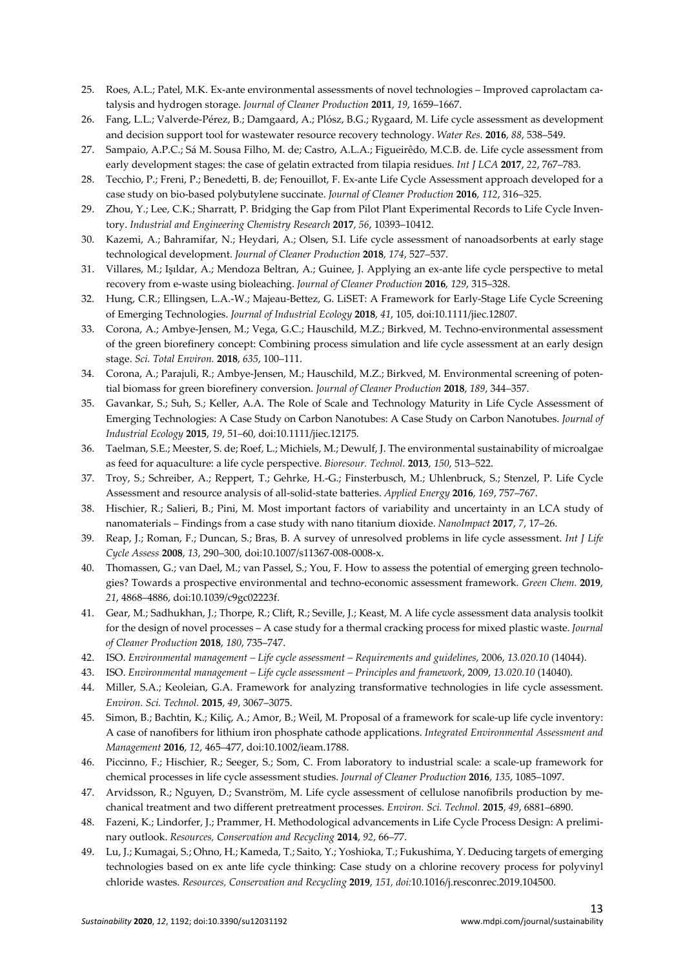- 25. Roes, A.L.; Patel, M.K. Ex-ante environmental assessments of novel technologies Improved caprolactam catalysis and hydrogen storage. *Journal of Cleaner Production* **2011**, *19*, 1659–1667.
- 26. Fang, L.L.; Valverde-Pérez, B.; Damgaard, A.; Plósz, B.G.; Rygaard, M. Life cycle assessment as development and decision support tool for wastewater resource recovery technology. *Water Res.* **2016**, *88*, 538–549.
- 27. Sampaio, A.P.C.; Sá M. Sousa Filho, M. de; Castro, A.L.A.; Figueirêdo, M.C.B. de. Life cycle assessment from early development stages: the case of gelatin extracted from tilapia residues. *Int J LCA* **2017**, *22*, 767–783.
- 28. Tecchio, P.; Freni, P.; Benedetti, B. de; Fenouillot, F. Ex-ante Life Cycle Assessment approach developed for a case study on bio-based polybutylene succinate. *Journal of Cleaner Production* **2016**, *112*, 316–325.
- 29. Zhou, Y.; Lee, C.K.; Sharratt, P. Bridging the Gap from Pilot Plant Experimental Records to Life Cycle Inventory. *Industrial and Engineering Chemistry Research* **2017**, *56*, 10393–10412.
- 30. Kazemi, A.; Bahramifar, N.; Heydari, A.; Olsen, S.I. Life cycle assessment of nanoadsorbents at early stage technological development. *Journal of Cleaner Production* **2018**, *174*, 527–537.
- 31. Villares, M.; Işıldar, A.; Mendoza Beltran, A.; Guinee, J. Applying an ex-ante life cycle perspective to metal recovery from e-waste using bioleaching. *Journal of Cleaner Production* **2016**, *129*, 315–328.
- 32. Hung, C.R.; Ellingsen, L.A.-W.; Majeau-Bettez, G. LiSET: A Framework for Early-Stage Life Cycle Screening of Emerging Technologies. *Journal of Industrial Ecology* **2018**, *41*, 105, doi:10.1111/jiec.12807.
- 33. Corona, A.; Ambye-Jensen, M.; Vega, G.C.; Hauschild, M.Z.; Birkved, M. Techno-environmental assessment of the green biorefinery concept: Combining process simulation and life cycle assessment at an early design stage. *Sci. Total Environ.* **2018**, *635*, 100–111.
- 34. Corona, A.; Parajuli, R.; Ambye-Jensen, M.; Hauschild, M.Z.; Birkved, M. Environmental screening of potential biomass for green biorefinery conversion. *Journal of Cleaner Production* **2018**, *189*, 344–357.
- 35. Gavankar, S.; Suh, S.; Keller, A.A. The Role of Scale and Technology Maturity in Life Cycle Assessment of Emerging Technologies: A Case Study on Carbon Nanotubes: A Case Study on Carbon Nanotubes. *Journal of Industrial Ecology* **2015**, *19*, 51–60, doi:10.1111/jiec.12175.
- 36. Taelman, S.E.; Meester, S. de; Roef, L.; Michiels, M.; Dewulf, J. The environmental sustainability of microalgae as feed for aquaculture: a life cycle perspective. *Bioresour. Technol.* **2013**, *150*, 513–522.
- 37. Troy, S.; Schreiber, A.; Reppert, T.; Gehrke, H.-G.; Finsterbusch, M.; Uhlenbruck, S.; Stenzel, P. Life Cycle Assessment and resource analysis of all-solid-state batteries. *Applied Energy* **2016**, *169*, 757–767.
- 38. Hischier, R.; Salieri, B.; Pini, M. Most important factors of variability and uncertainty in an LCA study of nanomaterials – Findings from a case study with nano titanium dioxide. *NanoImpact* **2017**, *7*, 17–26.
- 39. Reap, J.; Roman, F.; Duncan, S.; Bras, B. A survey of unresolved problems in life cycle assessment. *Int J Life Cycle Assess* **2008**, *13*, 290–300, doi:10.1007/s11367-008-0008-x.
- 40. Thomassen, G.; van Dael, M.; van Passel, S.; You, F. How to assess the potential of emerging green technologies? Towards a prospective environmental and techno-economic assessment framework. *Green Chem.* **2019**, *21*, 4868–4886, doi:10.1039/c9gc02223f.
- 41. Gear, M.; Sadhukhan, J.; Thorpe, R.; Clift, R.; Seville, J.; Keast, M. A life cycle assessment data analysis toolkit for the design of novel processes – A case study for a thermal cracking process for mixed plastic waste. *Journal of Cleaner Production* **2018**, *180*, 735–747.
- 42. ISO. *Environmental management Life cycle assessment Requirements and guidelines*, 2006, *13.020.10* (14044).
- 43. ISO. *Environmental management Life cycle assessment Principles and framework*, 2009, *13.020.10* (14040).
- 44. Miller, S.A.; Keoleian, G.A. Framework for analyzing transformative technologies in life cycle assessment. *Environ. Sci. Technol.* **2015**, *49*, 3067–3075.
- 45. Simon, B.; Bachtin, K.; Kiliç, A.; Amor, B.; Weil, M. Proposal of a framework for scale-up life cycle inventory: A case of nanofibers for lithium iron phosphate cathode applications. *Integrated Environmental Assessment and Management* **2016**, *12*, 465–477, doi:10.1002/ieam.1788.
- 46. Piccinno, F.; Hischier, R.; Seeger, S.; Som, C. From laboratory to industrial scale: a scale-up framework for chemical processes in life cycle assessment studies. *Journal of Cleaner Production* **2016**, *135*, 1085–1097.
- 47. Arvidsson, R.; Nguyen, D.; Svanström, M. Life cycle assessment of cellulose nanofibrils production by mechanical treatment and two different pretreatment processes. *Environ. Sci. Technol.* **2015**, *49*, 6881–6890.
- 48. Fazeni, K.; Lindorfer, J.; Prammer, H. Methodological advancements in Life Cycle Process Design: A preliminary outlook. *Resources, Conservation and Recycling* **2014**, *92*, 66–77.
- 49. Lu, J.; Kumagai, S.; Ohno, H.; Kameda, T.; Saito, Y.; Yoshioka, T.; Fukushima, Y. Deducing targets of emerging technologies based on ex ante life cycle thinking: Case study on a chlorine recovery process for polyvinyl chloride wastes. *Resources, Conservation and Recycling* **2019**, *151, doi:*10.1016/j.resconrec.2019.104500.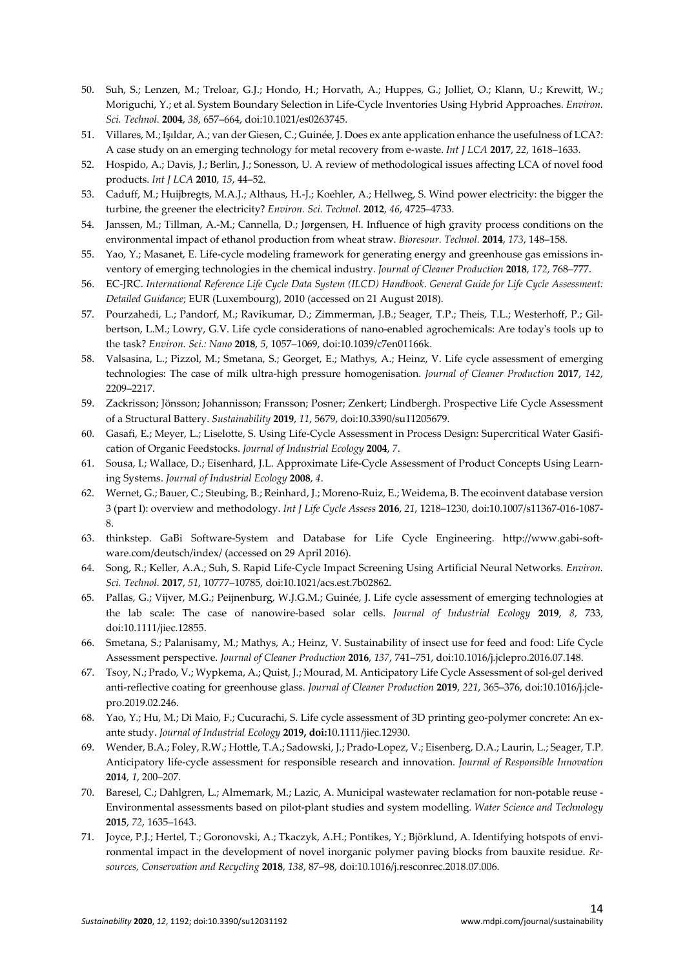- 50. Suh, S.; Lenzen, M.; Treloar, G.J.; Hondo, H.; Horvath, A.; Huppes, G.; Jolliet, O.; Klann, U.; Krewitt, W.; Moriguchi, Y.; et al. System Boundary Selection in Life-Cycle Inventories Using Hybrid Approaches. *Environ. Sci. Technol.* **2004**, *38*, 657–664, doi:10.1021/es0263745.
- 51. Villares, M.; Işıldar, A.; van der Giesen, C.; Guinée, J. Does ex ante application enhance the usefulness of LCA?: A case study on an emerging technology for metal recovery from e-waste. *Int J LCA* **2017**, *22*, 1618–1633.
- 52. Hospido, A.; Davis, J.; Berlin, J.; Sonesson, U. A review of methodological issues affecting LCA of novel food products. *Int J LCA* **2010**, *15*, 44–52.
- 53. Caduff, M.; Huijbregts, M.A.J.; Althaus, H.-J.; Koehler, A.; Hellweg, S. Wind power electricity: the bigger the turbine, the greener the electricity? *Environ. Sci. Technol.* **2012**, *46*, 4725–4733.
- 54. Janssen, M.; Tillman, A.-M.; Cannella, D.; Jørgensen, H. Influence of high gravity process conditions on the environmental impact of ethanol production from wheat straw. *Bioresour. Technol.* **2014**, *173*, 148–158.
- 55. Yao, Y.; Masanet, E. Life-cycle modeling framework for generating energy and greenhouse gas emissions inventory of emerging technologies in the chemical industry. *Journal of Cleaner Production* **2018**, *172*, 768–777.
- 56. EC-JRC. *International Reference Life Cycle Data System (ILCD) Handbook*. *General Guide for Life Cycle Assessment: Detailed Guidance*; EUR (Luxembourg), 2010 (accessed on 21 August 2018).
- 57. Pourzahedi, L.; Pandorf, M.; Ravikumar, D.; Zimmerman, J.B.; Seager, T.P.; Theis, T.L.; Westerhoff, P.; Gilbertson, L.M.; Lowry, G.V. Life cycle considerations of nano-enabled agrochemicals: Are today's tools up to the task? *Environ. Sci.: Nano* **2018**, *5*, 1057–1069, doi:10.1039/c7en01166k.
- 58. Valsasina, L.; Pizzol, M.; Smetana, S.; Georget, E.; Mathys, A.; Heinz, V. Life cycle assessment of emerging technologies: The case of milk ultra-high pressure homogenisation. *Journal of Cleaner Production* **2017**, *142*, 2209–2217.
- 59. Zackrisson; Jönsson; Johannisson; Fransson; Posner; Zenkert; Lindbergh. Prospective Life Cycle Assessment of a Structural Battery. *Sustainability* **2019**, *11*, 5679, doi:10.3390/su11205679.
- 60. Gasafi, E.; Meyer, L.; Liselotte, S. Using Life-Cycle Assessment in Process Design: Supercritical Water Gasification of Organic Feedstocks. *Journal of Industrial Ecology* **2004**, *7*.
- 61. Sousa, I.; Wallace, D.; Eisenhard, J.L. Approximate Life-Cycle Assessment of Product Concepts Using Learning Systems. *Journal of Industrial Ecology* **2008**, *4*.
- 62. Wernet, G.; Bauer, C.; Steubing, B.; Reinhard, J.; Moreno-Ruiz, E.; Weidema, B. The ecoinvent database version 3 (part I): overview and methodology. *Int J Life Cycle Assess* **2016**, *21*, 1218–1230, doi:10.1007/s11367-016-1087- 8.
- 63. thinkstep. GaBi Software-System and Database for Life Cycle Engineering. http://www.gabi-software.com/deutsch/index/ (accessed on 29 April 2016).
- 64. Song, R.; Keller, A.A.; Suh, S. Rapid Life-Cycle Impact Screening Using Artificial Neural Networks. *Environ. Sci. Technol.* **2017**, *51*, 10777–10785, doi:10.1021/acs.est.7b02862.
- 65. Pallas, G.; Vijver, M.G.; Peijnenburg, W.J.G.M.; Guinée, J. Life cycle assessment of emerging technologies at the lab scale: The case of nanowire-based solar cells. *Journal of Industrial Ecology* **2019**, *8*, 733, doi:10.1111/jiec.12855.
- 66. Smetana, S.; Palanisamy, M.; Mathys, A.; Heinz, V. Sustainability of insect use for feed and food: Life Cycle Assessment perspective. *Journal of Cleaner Production* **2016**, *137*, 741–751, doi:10.1016/j.jclepro.2016.07.148.
- 67. Tsoy, N.; Prado, V.; Wypkema, A.; Quist, J.; Mourad, M. Anticipatory Life Cycle Assessment of sol-gel derived anti-reflective coating for greenhouse glass. *Journal of Cleaner Production* **2019**, *221*, 365–376, doi:10.1016/j.jclepro.2019.02.246.
- 68. Yao, Y.; Hu, M.; Di Maio, F.; Cucurachi, S. Life cycle assessment of 3D printing geo-polymer concrete: An exante study. *Journal of Industrial Ecology* **2019, doi:**10.1111/jiec.12930.
- 69. Wender, B.A.; Foley, R.W.; Hottle, T.A.; Sadowski, J.; Prado-Lopez, V.; Eisenberg, D.A.; Laurin, L.; Seager, T.P. Anticipatory life-cycle assessment for responsible research and innovation. *Journal of Responsible Innovation* **2014**, *1*, 200–207.
- 70. Baresel, C.; Dahlgren, L.; Almemark, M.; Lazic, A. Municipal wastewater reclamation for non-potable reuse Environmental assessments based on pilot-plant studies and system modelling. *Water Science and Technology* **2015**, *72*, 1635–1643.
- 71. Joyce, P.J.; Hertel, T.; Goronovski, A.; Tkaczyk, A.H.; Pontikes, Y.; Björklund, A. Identifying hotspots of environmental impact in the development of novel inorganic polymer paving blocks from bauxite residue. *Resources, Conservation and Recycling* **2018**, *138*, 87–98, doi:10.1016/j.resconrec.2018.07.006.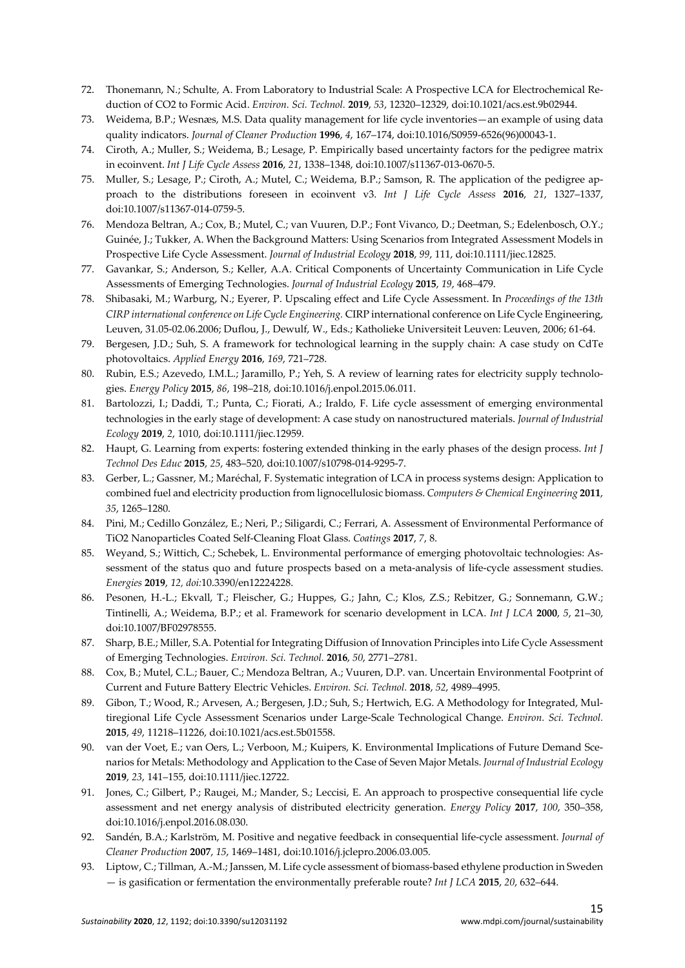- 72. Thonemann, N.; Schulte, A. From Laboratory to Industrial Scale: A Prospective LCA for Electrochemical Reduction of CO2 to Formic Acid. *Environ. Sci. Technol.* **2019**, *53*, 12320–12329, doi:10.1021/acs.est.9b02944.
- 73. Weidema, B.P.; Wesnæs, M.S. Data quality management for life cycle inventories—an example of using data quality indicators. *Journal of Cleaner Production* **1996**, *4*, 167–174, doi:10.1016/S0959-6526(96)00043-1.
- 74. Ciroth, A.; Muller, S.; Weidema, B.; Lesage, P. Empirically based uncertainty factors for the pedigree matrix in ecoinvent. *Int J Life Cycle Assess* **2016**, *21*, 1338–1348, doi:10.1007/s11367-013-0670-5.
- 75. Muller, S.; Lesage, P.; Ciroth, A.; Mutel, C.; Weidema, B.P.; Samson, R. The application of the pedigree approach to the distributions foreseen in ecoinvent v3. *Int J Life Cycle Assess* **2016**, *21*, 1327–1337, doi:10.1007/s11367-014-0759-5.
- 76. Mendoza Beltran, A.; Cox, B.; Mutel, C.; van Vuuren, D.P.; Font Vivanco, D.; Deetman, S.; Edelenbosch, O.Y.; Guinée, J.; Tukker, A. When the Background Matters: Using Scenarios from Integrated Assessment Models in Prospective Life Cycle Assessment. *Journal of Industrial Ecology* **2018**, *99*, 111, doi:10.1111/jiec.12825.
- 77. Gavankar, S.; Anderson, S.; Keller, A.A. Critical Components of Uncertainty Communication in Life Cycle Assessments of Emerging Technologies. *Journal of Industrial Ecology* **2015**, *19*, 468–479.
- 78. Shibasaki, M.; Warburg, N.; Eyerer, P. Upscaling effect and Life Cycle Assessment. In *Proceedings of the 13th CIRP international conference on Life Cycle Engineering.* CIRP international conference on Life Cycle Engineering, Leuven, 31.05-02.06.2006; Duflou, J., Dewulf, W., Eds.; Katholieke Universiteit Leuven: Leuven, 2006; 61-64.
- 79. Bergesen, J.D.; Suh, S. A framework for technological learning in the supply chain: A case study on CdTe photovoltaics. *Applied Energy* **2016**, *169*, 721–728.
- 80. Rubin, E.S.; Azevedo, I.M.L.; Jaramillo, P.; Yeh, S. A review of learning rates for electricity supply technologies. *Energy Policy* **2015**, *86*, 198–218, doi:10.1016/j.enpol.2015.06.011.
- 81. Bartolozzi, I.; Daddi, T.; Punta, C.; Fiorati, A.; Iraldo, F. Life cycle assessment of emerging environmental technologies in the early stage of development: A case study on nanostructured materials. *Journal of Industrial Ecology* **2019**, *2*, 1010, doi:10.1111/jiec.12959.
- 82. Haupt, G. Learning from experts: fostering extended thinking in the early phases of the design process. *Int J Technol Des Educ* **2015**, *25*, 483–520, doi:10.1007/s10798-014-9295-7.
- 83. Gerber, L.; Gassner, M.; Maréchal, F. Systematic integration of LCA in process systems design: Application to combined fuel and electricity production from lignocellulosic biomass. *Computers & Chemical Engineering* **2011**, *35*, 1265–1280.
- 84. Pini, M.; Cedillo González, E.; Neri, P.; Siligardi, C.; Ferrari, A. Assessment of Environmental Performance of TiO2 Nanoparticles Coated Self-Cleaning Float Glass. *Coatings* **2017**, *7*, 8.
- 85. Weyand, S.; Wittich, C.; Schebek, L. Environmental performance of emerging photovoltaic technologies: Assessment of the status quo and future prospects based on a meta-analysis of life-cycle assessment studies. *Energies* **2019**, *12, doi:*10.3390/en12224228.
- 86. Pesonen, H.-L.; Ekvall, T.; Fleischer, G.; Huppes, G.; Jahn, C.; Klos, Z.S.; Rebitzer, G.; Sonnemann, G.W.; Tintinelli, A.; Weidema, B.P.; et al. Framework for scenario development in LCA. *Int J LCA* **2000**, *5*, 21–30, doi:10.1007/BF02978555.
- 87. Sharp, B.E.; Miller, S.A. Potential for Integrating Diffusion of Innovation Principles into Life Cycle Assessment of Emerging Technologies. *Environ. Sci. Technol.* **2016**, *50*, 2771–2781.
- 88. Cox, B.; Mutel, C.L.; Bauer, C.; Mendoza Beltran, A.; Vuuren, D.P. van. Uncertain Environmental Footprint of Current and Future Battery Electric Vehicles. *Environ. Sci. Technol.* **2018**, *52*, 4989–4995.
- 89. Gibon, T.; Wood, R.; Arvesen, A.; Bergesen, J.D.; Suh, S.; Hertwich, E.G. A Methodology for Integrated, Multiregional Life Cycle Assessment Scenarios under Large-Scale Technological Change. *Environ. Sci. Technol.* **2015**, *49*, 11218–11226, doi:10.1021/acs.est.5b01558.
- 90. van der Voet, E.; van Oers, L.; Verboon, M.; Kuipers, K. Environmental Implications of Future Demand Scenarios for Metals: Methodology and Application to the Case of Seven Major Metals. *Journal of Industrial Ecology* **2019**, *23*, 141–155, doi:10.1111/jiec.12722.
- 91. Jones, C.; Gilbert, P.; Raugei, M.; Mander, S.; Leccisi, E. An approach to prospective consequential life cycle assessment and net energy analysis of distributed electricity generation. *Energy Policy* **2017**, *100*, 350–358, doi:10.1016/j.enpol.2016.08.030.
- 92. Sandén, B.A.; Karlström, M. Positive and negative feedback in consequential life-cycle assessment. *Journal of Cleaner Production* **2007**, *15*, 1469–1481, doi:10.1016/j.jclepro.2006.03.005.
- 93. Liptow, C.; Tillman, A.-M.; Janssen, M. Life cycle assessment of biomass-based ethylene production in Sweden — is gasification or fermentation the environmentally preferable route? *Int J LCA* **2015**, *20*, 632–644.